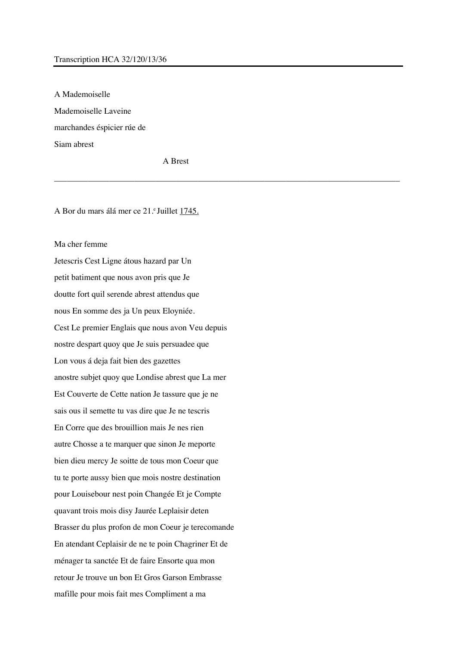## Transcription HCA 32/120/13/36

A Mademoiselle Mademoiselle Laveine marchandes éspicier rúe de Siam abrest

A Brest

A Bor du mars álá mer ce 21. Juillet 1745.

## Ma cher femme

Jetescris Cest Ligne átous hazard par Un petit batiment que nous avon pris que Je doutte fort quil serende abrest attendus que nous En somme des ja Un peux Eloyniée. Cest Le premier Englais que nous avon Veu depuis nostre despart quoy que Je suis persuadee que Lon vous á deja fait bien des gazettes anostre subjet quoy que Londise abrest que La mer Est Couverte de Cette nation Je tassure que je ne sais ous il semette tu vas dire que Je ne tescris En Corre que des brouillion mais Je nes rien autre Chosse a te marquer que sinon Je meporte bien dieu mercy Je soitte de tous mon Coeur que tu te porte aussy bien que mois nostre destination pour Louisebour nest poin Changée Et je Compte quavant trois mois disy Jaurée Leplaisir deten Brasser du plus profon de mon Coeur je terecomande En atendant Ceplaisir de ne te poin Chagriner Et de ménager ta sanctée Et de faire Ensorte qua mon retour Je trouve un bon Et Gros Garson Embrasse mafille pour mois fait mes Compliment a ma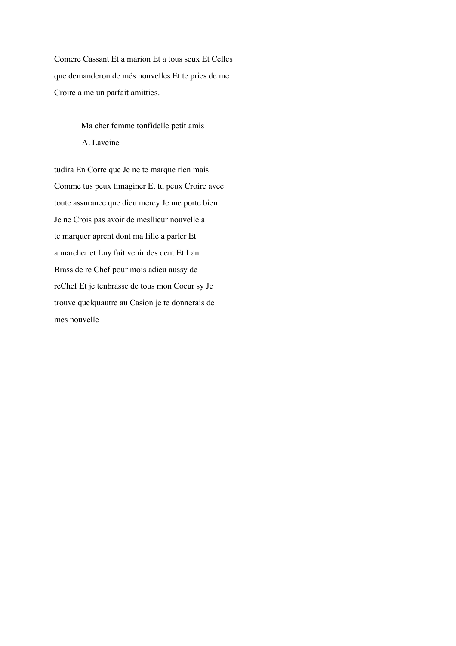Comere Cassant Et a marion Et a tous seux Et Celles que demanderon de més nouvelles Et te pries de me Croire a me un parfait amitties.

> Ma cher femme tonfidelle petit amis A. Laveine

tudira En Corre que Je ne te marque rien mais Comme tus peux timaginer Et tu peux Croire avec toute assurance que dieu mercy Je me porte bien Je ne Crois pas avoir de mesllieur nouvelle a te marquer aprent dont ma fille a parler Et a marcher et Luy fait venir des dent Et Lan Brass de re Chef pour mois adieu aussy de reChef Et je tenbrasse de tous mon Coeur sy Je trouve quelquautre au Casion je te donnerais de mes nouvelle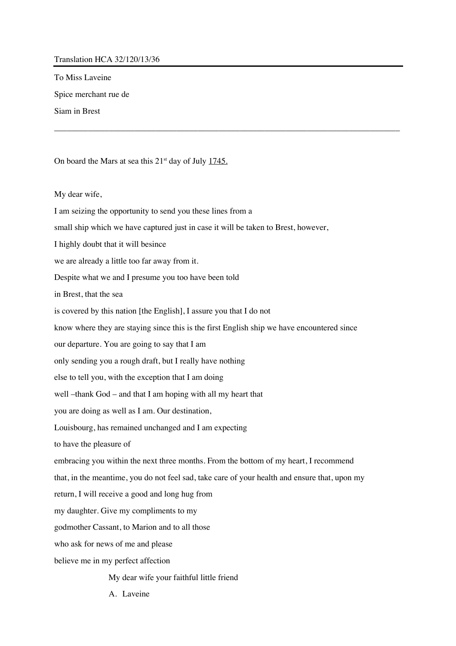## Translation HCA 32/120/13/36

To Miss Laveine

Spice merchant rue de

Siam in Brest

On board the Mars at sea this  $21^{st}$  day of July  $1745$ .

My dear wife,

I am seizing the opportunity to send you these lines from a small ship which we have captured just in case it will be taken to Brest, however, I highly doubt that it will besince we are already a little too far away from it. Despite what we and I presume you too have been told in Brest, that the sea is covered by this nation [the English], I assure you that I do not know where they are staying since this is the first English ship we have encountered since our departure. You are going to say that I am only sending you a rough draft, but I really have nothing else to tell you, with the exception that I am doing well –thank God – and that I am hoping with all my heart that you are doing as well as I am. Our destination, Louisbourg, has remained unchanged and I am expecting to have the pleasure of embracing you within the next three months. From the bottom of my heart, I recommend that, in the meantime, you do not feel sad, take care of your health and ensure that, upon my return, I will receive a good and long hug from my daughter. Give my compliments to my godmother Cassant, to Marion and to all those who ask for news of me and please believe me in my perfect affection My dear wife your faithful little friend

\_\_\_\_\_\_\_\_\_\_\_\_\_\_\_\_\_\_\_\_\_\_\_\_\_\_\_\_\_\_\_\_\_\_\_\_\_\_\_\_\_\_\_\_\_\_\_\_\_\_\_\_\_\_\_\_\_\_\_\_\_\_\_\_\_\_\_\_\_\_\_\_\_\_\_\_\_\_\_\_\_\_

A. Laveine